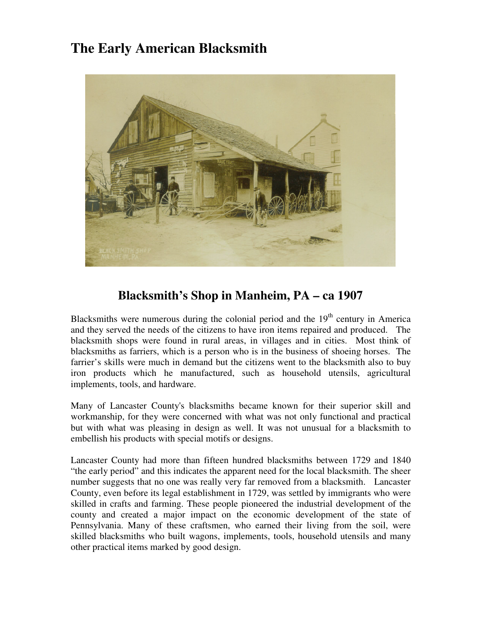## **The Early American Blacksmith**



## **Blacksmith's Shop in Manheim, PA – ca 1907**

Blacksmiths were numerous during the colonial period and the  $19<sup>th</sup>$  century in America and they served the needs of the citizens to have iron items repaired and produced. The blacksmith shops were found in rural areas, in villages and in cities. Most think of blacksmiths as farriers, which is a person who is in the business of shoeing horses. The farrier's skills were much in demand but the citizens went to the blacksmith also to buy iron products which he manufactured, such as household utensils, agricultural implements, tools, and hardware.

Many of Lancaster County's blacksmiths became known for their superior skill and workmanship, for they were concerned with what was not only functional and practical but with what was pleasing in design as well. It was not unusual for a blacksmith to embellish his products with special motifs or designs.

Lancaster County had more than fifteen hundred blacksmiths between 1729 and 1840 "the early period" and this indicates the apparent need for the local blacksmith. The sheer number suggests that no one was really very far removed from a blacksmith. Lancaster County, even before its legal establishment in 1729, was settled by immigrants who were skilled in crafts and farming. These people pioneered the industrial development of the county and created a major impact on the economic development of the state of Pennsylvania. Many of these craftsmen, who earned their living from the soil, were skilled blacksmiths who built wagons, implements, tools, household utensils and many other practical items marked by good design.